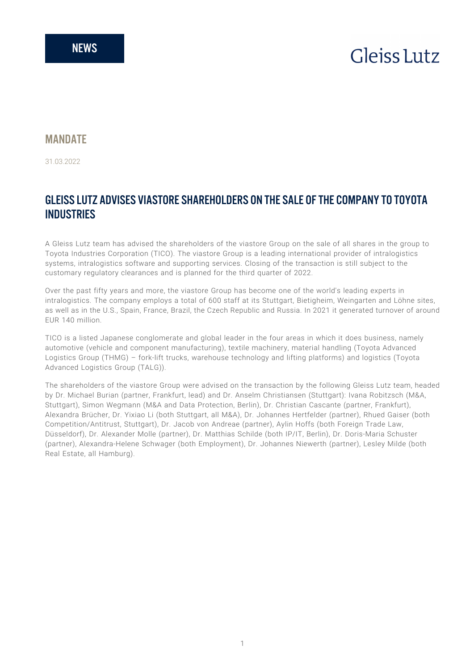# **Gleiss** Lutz

### **MANDATF**

31.03.2022

## GLEISS LUTZ ADVISES VIASTORE SHAREHOLDERS ON THE SALE OF THE COMPANY TO TOYOTA **INDUSTRIES**

A Gleiss Lutz team has advised the shareholders of the viastore Group on the sale of all shares in the group to Toyota Industries Corporation (TICO). The viastore Group is a leading international provider of intralogistics systems, intralogistics software and supporting services. Closing of the transaction is still subject to the customary regulatory clearances and is planned for the third quarter of 2022.

Over the past fifty years and more, the viastore Group has become one of the world's leading experts in intralogistics. The company employs a total of 600 staff at its Stuttgart, Bietigheim, Weingarten and Löhne sites, as well as in the U.S., Spain, France, Brazil, the Czech Republic and Russia. In 2021 it generated turnover of around EUR 140 million.

TICO is a listed Japanese conglomerate and global leader in the four areas in which it does business, namely automotive (vehicle and component manufacturing), textile machinery, material handling (Toyota Advanced Logistics Group (THMG) – fork-lift trucks, warehouse technology and lifting platforms) and logistics (Toyota Advanced Logistics Group (TALG)).

The shareholders of the viastore Group were advised on the transaction by the following Gleiss Lutz team, headed by Dr. Michael Burian (partner, Frankfurt, lead) and Dr. Anselm Christiansen (Stuttgart): Ivana Robitzsch (M&A, Stuttgart), Simon Wegmann (M&A and Data Protection, Berlin), Dr. Christian Cascante (partner, Frankfurt), Alexandra Brücher, Dr. Yixiao Li (both Stuttgart, all M&A), Dr. Johannes Hertfelder (partner), Rhued Gaiser (both Competition/Antitrust, Stuttgart), Dr. Jacob von Andreae (partner), Aylin Hoffs (both Foreign Trade Law, Düsseldorf), Dr. Alexander Molle (partner), Dr. Matthias Schilde (both IP/IT, Berlin), Dr. Doris-Maria Schuster (partner), Alexandra-Helene Schwager (both Employment), Dr. Johannes Niewerth (partner), Lesley Milde (both Real Estate, all Hamburg).